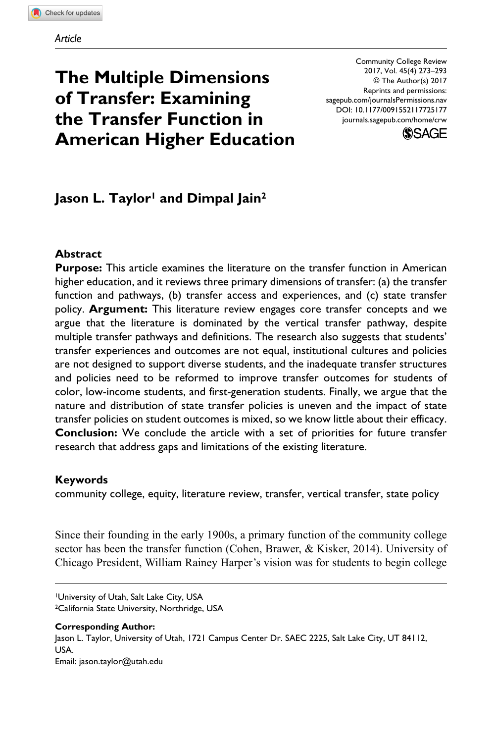# **The Multiple Dimensions of Transfer: Examining the Transfer Function in American Higher Education**

DOI: 10.1177/0091552117725177 Community College Review 2017, Vol. 45(4) 273–293 © The Author(s) 2017 Reprints and permissions: [sagepub.com/journalsPermissions.nav](https://us.sagepub.com/en-us/journals-permissions) [journals.sagepub.com/home/crw](https://journals.sagepub.com/home/crw)



# Jason L. Taylor<sup>1</sup> and Dimpal Jain<sup>2</sup>

#### **Abstract**

**Purpose:** This article examines the literature on the transfer function in American higher education, and it reviews three primary dimensions of transfer: (a) the transfer function and pathways, (b) transfer access and experiences, and (c) state transfer policy. **Argument:** This literature review engages core transfer concepts and we argue that the literature is dominated by the vertical transfer pathway, despite multiple transfer pathways and definitions. The research also suggests that students' transfer experiences and outcomes are not equal, institutional cultures and policies are not designed to support diverse students, and the inadequate transfer structures and policies need to be reformed to improve transfer outcomes for students of color, low-income students, and first-generation students. Finally, we argue that the nature and distribution of state transfer policies is uneven and the impact of state transfer policies on student outcomes is mixed, so we know little about their efficacy. **Conclusion:** We conclude the article with a set of priorities for future transfer research that address gaps and limitations of the existing literature.

#### **Keywords**

community college, equity, literature review, transfer, vertical transfer, state policy

Since their founding in the early 1900s, a primary function of the community college sector has been the transfer function (Cohen, Brawer, & Kisker, 2014). University of Chicago President, William Rainey Harper's vision was for students to begin college

1University of Utah, Salt Lake City, USA 2California State University, Northridge, USA

**Corresponding Author:** Jason L. Taylor, University of Utah, 1721 Campus Center Dr. SAEC 2225, Salt Lake City, UT 84112, USA. Email: [jason.taylor@utah.edu](mailto:jason.taylor@utah.edu)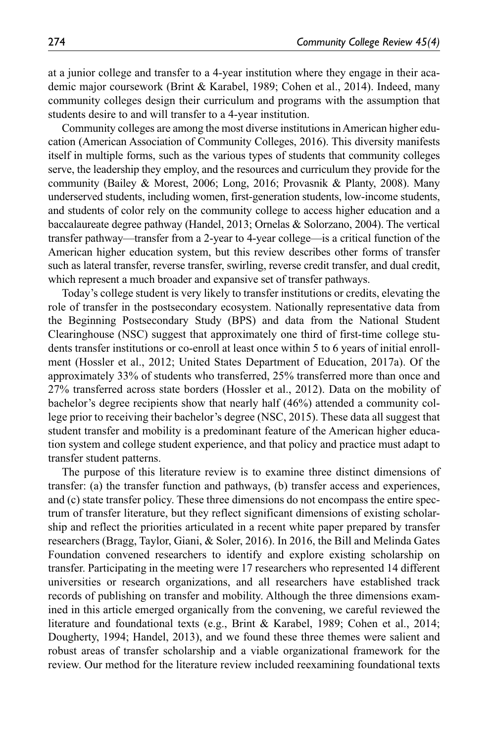at a junior college and transfer to a 4-year institution where they engage in their academic major coursework (Brint & Karabel, 1989; Cohen et al., 2014). Indeed, many community colleges design their curriculum and programs with the assumption that students desire to and will transfer to a 4-year institution.

Community colleges are among the most diverse institutions in American higher education (American Association of Community Colleges, 2016). This diversity manifests itself in multiple forms, such as the various types of students that community colleges serve, the leadership they employ, and the resources and curriculum they provide for the community (Bailey & Morest, 2006; Long, 2016; Provasnik & Planty, 2008). Many underserved students, including women, first-generation students, low-income students, and students of color rely on the community college to access higher education and a baccalaureate degree pathway (Handel, 2013; Ornelas & Solorzano, 2004). The vertical transfer pathway—transfer from a 2-year to 4-year college—is a critical function of the American higher education system, but this review describes other forms of transfer such as lateral transfer, reverse transfer, swirling, reverse credit transfer, and dual credit, which represent a much broader and expansive set of transfer pathways.

Today's college student is very likely to transfer institutions or credits, elevating the role of transfer in the postsecondary ecosystem. Nationally representative data from the Beginning Postsecondary Study (BPS) and data from the National Student Clearinghouse (NSC) suggest that approximately one third of first-time college students transfer institutions or co-enroll at least once within 5 to 6 years of initial enrollment (Hossler et al., 2012; United States Department of Education, 2017a). Of the approximately 33% of students who transferred, 25% transferred more than once and 27% transferred across state borders (Hossler et al., 2012). Data on the mobility of bachelor's degree recipients show that nearly half (46%) attended a community college prior to receiving their bachelor's degree (NSC, 2015). These data all suggest that student transfer and mobility is a predominant feature of the American higher education system and college student experience, and that policy and practice must adapt to transfer student patterns.

The purpose of this literature review is to examine three distinct dimensions of transfer: (a) the transfer function and pathways, (b) transfer access and experiences, and (c) state transfer policy. These three dimensions do not encompass the entire spectrum of transfer literature, but they reflect significant dimensions of existing scholarship and reflect the priorities articulated in a recent white paper prepared by transfer researchers (Bragg, Taylor, Giani, & Soler, 2016). In 2016, the Bill and Melinda Gates Foundation convened researchers to identify and explore existing scholarship on transfer. Participating in the meeting were 17 researchers who represented 14 different universities or research organizations, and all researchers have established track records of publishing on transfer and mobility. Although the three dimensions examined in this article emerged organically from the convening, we careful reviewed the literature and foundational texts (e.g., Brint & Karabel, 1989; Cohen et al., 2014; Dougherty, 1994; Handel, 2013), and we found these three themes were salient and robust areas of transfer scholarship and a viable organizational framework for the review. Our method for the literature review included reexamining foundational texts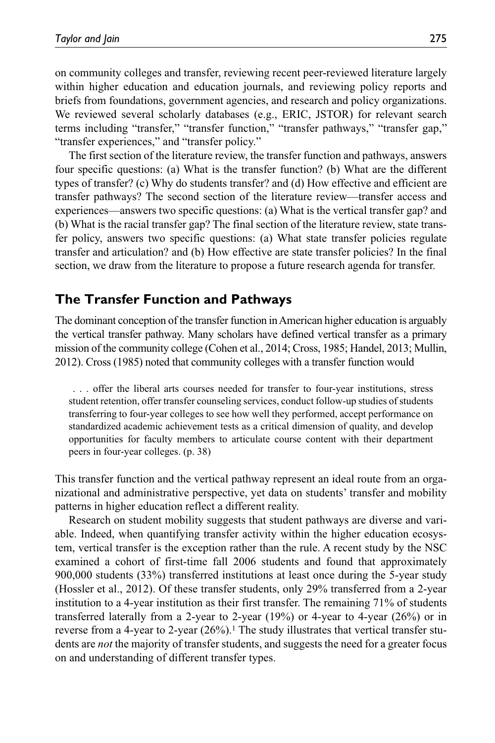on community colleges and transfer, reviewing recent peer-reviewed literature largely within higher education and education journals, and reviewing policy reports and briefs from foundations, government agencies, and research and policy organizations. We reviewed several scholarly databases (e.g., ERIC, JSTOR) for relevant search terms including "transfer," "transfer function," "transfer pathways," "transfer gap," "transfer experiences," and "transfer policy."

The first section of the literature review, the transfer function and pathways, answers four specific questions: (a) What is the transfer function? (b) What are the different types of transfer? (c) Why do students transfer? and (d) How effective and efficient are transfer pathways? The second section of the literature review—transfer access and experiences—answers two specific questions: (a) What is the vertical transfer gap? and (b) What is the racial transfer gap? The final section of the literature review, state transfer policy, answers two specific questions: (a) What state transfer policies regulate transfer and articulation? and (b) How effective are state transfer policies? In the final section, we draw from the literature to propose a future research agenda for transfer.

# **The Transfer Function and Pathways**

The dominant conception of the transfer function in American higher education is arguably the vertical transfer pathway. Many scholars have defined vertical transfer as a primary mission of the community college (Cohen et al., 2014; Cross, 1985; Handel, 2013; Mullin, 2012). Cross (1985) noted that community colleges with a transfer function would

 . . . offer the liberal arts courses needed for transfer to four-year institutions, stress student retention, offer transfer counseling services, conduct follow-up studies of students transferring to four-year colleges to see how well they performed, accept performance on standardized academic achievement tests as a critical dimension of quality, and develop opportunities for faculty members to articulate course content with their department peers in four-year colleges. (p. 38)

This transfer function and the vertical pathway represent an ideal route from an organizational and administrative perspective, yet data on students' transfer and mobility patterns in higher education reflect a different reality.

Research on student mobility suggests that student pathways are diverse and variable. Indeed, when quantifying transfer activity within the higher education ecosystem, vertical transfer is the exception rather than the rule. A recent study by the NSC examined a cohort of first-time fall 2006 students and found that approximately 900,000 students (33%) transferred institutions at least once during the 5-year study (Hossler et al., 2012). Of these transfer students, only 29% transferred from a 2-year institution to a 4-year institution as their first transfer. The remaining 71% of students transferred laterally from a 2-year to 2-year  $(19%)$  or 4-year to 4-year  $(26%)$  or in reverse from a 4-year to 2-year  $(26\%)$ .<sup>1</sup> The study illustrates that vertical transfer students are *not* the majority of transfer students, and suggests the need for a greater focus on and understanding of different transfer types.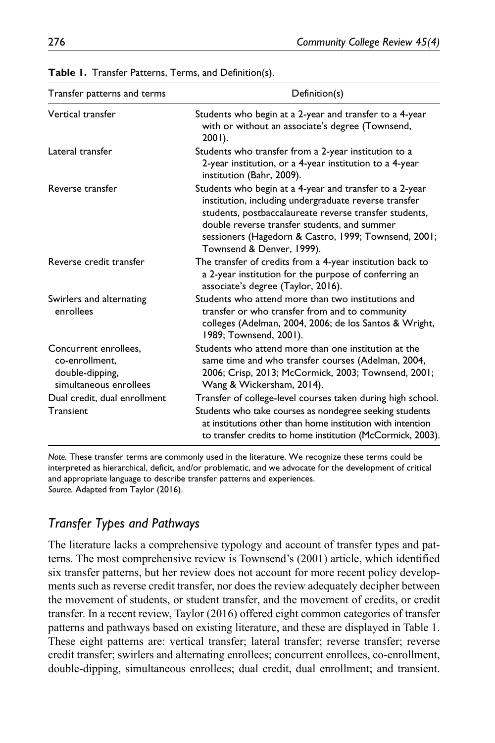| Transfer patterns and terms                                                          | Definition(s)                                                                                                                                                                                                                                                                                                   |  |  |  |  |
|--------------------------------------------------------------------------------------|-----------------------------------------------------------------------------------------------------------------------------------------------------------------------------------------------------------------------------------------------------------------------------------------------------------------|--|--|--|--|
| Vertical transfer                                                                    | Students who begin at a 2-year and transfer to a 4-year<br>with or without an associate's degree (Townsend,<br>$2001$ ).                                                                                                                                                                                        |  |  |  |  |
| Lateral transfer                                                                     | Students who transfer from a 2-year institution to a<br>2-year institution, or a 4-year institution to a 4-year<br>institution (Bahr, 2009).                                                                                                                                                                    |  |  |  |  |
| Reverse transfer                                                                     | Students who begin at a 4-year and transfer to a 2-year<br>institution, including undergraduate reverse transfer<br>students, postbaccalaureate reverse transfer students,<br>double reverse transfer students, and summer<br>sessioners (Hagedorn & Castro, 1999; Townsend, 2001;<br>Townsend & Denver, 1999). |  |  |  |  |
| Reverse credit transfer                                                              | The transfer of credits from a 4-year institution back to<br>a 2-year institution for the purpose of conferring an<br>associate's degree (Taylor, 2016).                                                                                                                                                        |  |  |  |  |
| Swirlers and alternating<br>enrollees                                                | Students who attend more than two institutions and<br>transfer or who transfer from and to community<br>colleges (Adelman, 2004, 2006; de los Santos & Wright,<br>1989; Townsend, 2001).                                                                                                                        |  |  |  |  |
| Concurrent enrollees,<br>co-enrollment.<br>double-dipping,<br>simultaneous enrollees | Students who attend more than one institution at the<br>same time and who transfer courses (Adelman, 2004,<br>2006; Crisp, 2013; McCormick, 2003; Townsend, 2001;<br>Wang & Wickersham, 2014).                                                                                                                  |  |  |  |  |
| Dual credit, dual enrollment<br>Transient                                            | Transfer of college-level courses taken during high school.<br>Students who take courses as nondegree seeking students<br>at institutions other than home institution with intention<br>to transfer credits to home institution (McCormick, 2003).                                                              |  |  |  |  |

**Table 1.** Transfer Patterns, Terms, and Definition(s).

*Note.* These transfer terms are commonly used in the literature. We recognize these terms could be interpreted as hierarchical, deficit, and/or problematic, and we advocate for the development of critical and appropriate language to describe transfer patterns and experiences. *Source.* Adapted from Taylor (2016).

# *Transfer Types and Pathways*

The literature lacks a comprehensive typology and account of transfer types and patterns. The most comprehensive review is Townsend's (2001) article, which identified six transfer patterns, but her review does not account for more recent policy developments such as reverse credit transfer, nor does the review adequately decipher between the movement of students, or student transfer, and the movement of credits, or credit transfer. In a recent review, Taylor (2016) offered eight common categories of transfer patterns and pathways based on existing literature, and these are displayed in Table 1. These eight patterns are: vertical transfer; lateral transfer; reverse transfer; reverse credit transfer; swirlers and alternating enrollees; concurrent enrollees, co-enrollment, double-dipping, simultaneous enrollees; dual credit, dual enrollment; and transient.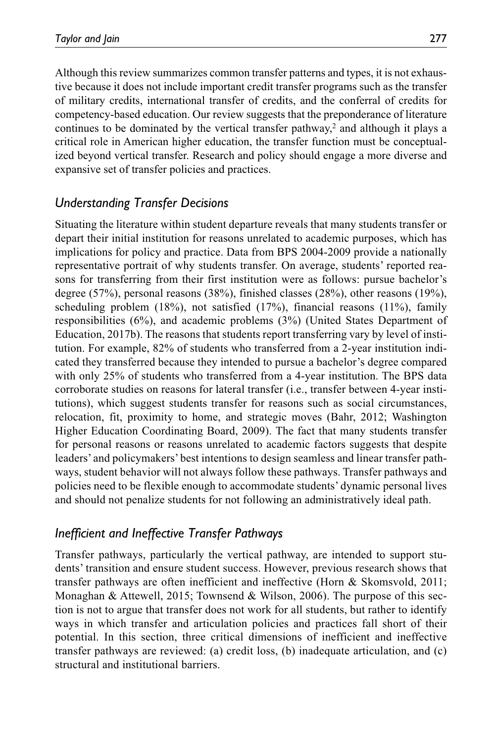Although this review summarizes common transfer patterns and types, it is not exhaustive because it does not include important credit transfer programs such as the transfer of military credits, international transfer of credits, and the conferral of credits for competency-based education. Our review suggests that the preponderance of literature continues to be dominated by the vertical transfer pathway,<sup>2</sup> and although it plays a critical role in American higher education, the transfer function must be conceptualized beyond vertical transfer. Research and policy should engage a more diverse and expansive set of transfer policies and practices.

# *Understanding Transfer Decisions*

Situating the literature within student departure reveals that many students transfer or depart their initial institution for reasons unrelated to academic purposes, which has implications for policy and practice. Data from BPS 2004-2009 provide a nationally representative portrait of why students transfer. On average, students' reported reasons for transferring from their first institution were as follows: pursue bachelor's degree (57%), personal reasons (38%), finished classes (28%), other reasons (19%), scheduling problem (18%), not satisfied (17%), financial reasons (11%), family responsibilities (6%), and academic problems (3%) (United States Department of Education, 2017b). The reasons that students report transferring vary by level of institution. For example, 82% of students who transferred from a 2-year institution indicated they transferred because they intended to pursue a bachelor's degree compared with only 25% of students who transferred from a 4-year institution. The BPS data corroborate studies on reasons for lateral transfer (i.e., transfer between 4-year institutions), which suggest students transfer for reasons such as social circumstances, relocation, fit, proximity to home, and strategic moves (Bahr, 2012; Washington Higher Education Coordinating Board, 2009). The fact that many students transfer for personal reasons or reasons unrelated to academic factors suggests that despite leaders' and policymakers' best intentions to design seamless and linear transfer pathways, student behavior will not always follow these pathways. Transfer pathways and policies need to be flexible enough to accommodate students' dynamic personal lives and should not penalize students for not following an administratively ideal path.

# *Inefficient and Ineffective Transfer Pathways*

Transfer pathways, particularly the vertical pathway, are intended to support students' transition and ensure student success. However, previous research shows that transfer pathways are often inefficient and ineffective (Horn & Skomsvold, 2011; Monaghan & Attewell, 2015; Townsend & Wilson, 2006). The purpose of this section is not to argue that transfer does not work for all students, but rather to identify ways in which transfer and articulation policies and practices fall short of their potential. In this section, three critical dimensions of inefficient and ineffective transfer pathways are reviewed: (a) credit loss, (b) inadequate articulation, and (c) structural and institutional barriers.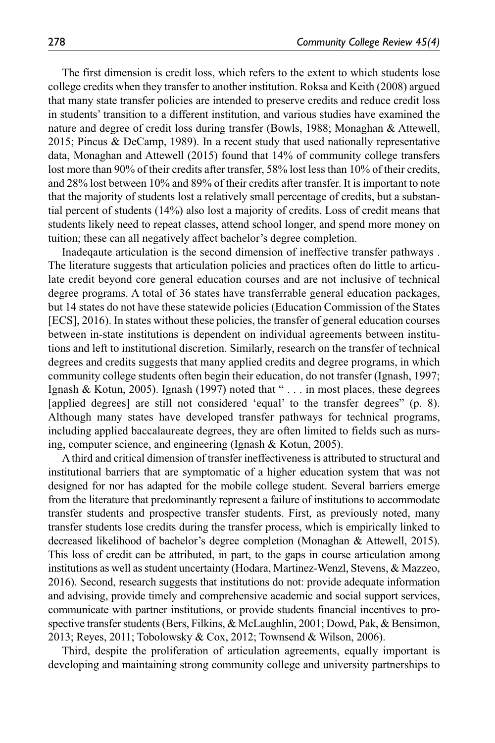The first dimension is credit loss, which refers to the extent to which students lose college credits when they transfer to another institution. Roksa and Keith (2008) argued that many state transfer policies are intended to preserve credits and reduce credit loss in students' transition to a different institution, and various studies have examined the nature and degree of credit loss during transfer (Bowls, 1988; Monaghan & Attewell, 2015; Pincus & DeCamp, 1989). In a recent study that used nationally representative data, Monaghan and Attewell (2015) found that 14% of community college transfers lost more than 90% of their credits after transfer, 58% lost less than 10% of their credits, and 28% lost between 10% and 89% of their credits after transfer. It is important to note that the majority of students lost a relatively small percentage of credits, but a substantial percent of students (14%) also lost a majority of credits. Loss of credit means that students likely need to repeat classes, attend school longer, and spend more money on tuition; these can all negatively affect bachelor's degree completion.

Inadeqaute articulation is the second dimension of ineffective transfer pathways . The literature suggests that articulation policies and practices often do little to articulate credit beyond core general education courses and are not inclusive of technical degree programs. A total of 36 states have transferrable general education packages, but 14 states do not have these statewide policies (Education Commission of the States [ECS], 2016). In states without these policies, the transfer of general education courses between in-state institutions is dependent on individual agreements between institutions and left to institutional discretion. Similarly, research on the transfer of technical degrees and credits suggests that many applied credits and degree programs, in which community college students often begin their education, do not transfer (Ignash, 1997; Ignash & Kotun, 2005). Ignash (1997) noted that " . . . in most places, these degrees [applied degrees] are still not considered 'equal' to the transfer degrees" (p. 8). Although many states have developed transfer pathways for technical programs, including applied baccalaureate degrees, they are often limited to fields such as nursing, computer science, and engineering (Ignash & Kotun, 2005).

A third and critical dimension of transfer ineffectiveness is attributed to structural and institutional barriers that are symptomatic of a higher education system that was not designed for nor has adapted for the mobile college student. Several barriers emerge from the literature that predominantly represent a failure of institutions to accommodate transfer students and prospective transfer students. First, as previously noted, many transfer students lose credits during the transfer process, which is empirically linked to decreased likelihood of bachelor's degree completion (Monaghan & Attewell, 2015). This loss of credit can be attributed, in part, to the gaps in course articulation among institutions as well as student uncertainty (Hodara, Martinez-Wenzl, Stevens, & Mazzeo, 2016). Second, research suggests that institutions do not: provide adequate information and advising, provide timely and comprehensive academic and social support services, communicate with partner institutions, or provide students financial incentives to prospective transfer students (Bers, Filkins, & McLaughlin, 2001; Dowd, Pak, & Bensimon, 2013; Reyes, 2011; Tobolowsky & Cox, 2012; Townsend & Wilson, 2006).

Third, despite the proliferation of articulation agreements, equally important is developing and maintaining strong community college and university partnerships to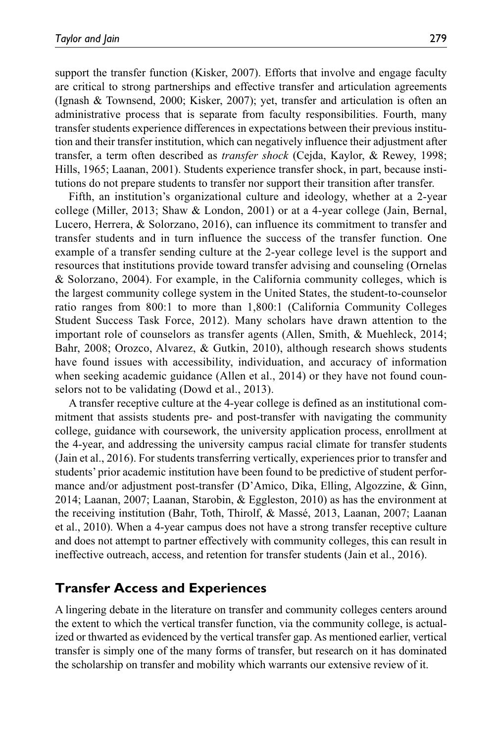support the transfer function (Kisker, 2007). Efforts that involve and engage faculty are critical to strong partnerships and effective transfer and articulation agreements (Ignash & Townsend, 2000; Kisker, 2007); yet, transfer and articulation is often an administrative process that is separate from faculty responsibilities. Fourth, many transfer students experience differences in expectations between their previous institution and their transfer institution, which can negatively influence their adjustment after transfer, a term often described as *transfer shock* (Cejda, Kaylor, & Rewey, 1998; Hills, 1965; Laanan, 2001). Students experience transfer shock, in part, because institutions do not prepare students to transfer nor support their transition after transfer.

Fifth, an institution's organizational culture and ideology, whether at a 2-year college (Miller, 2013; Shaw & London, 2001) or at a 4-year college (Jain, Bernal, Lucero, Herrera, & Solorzano, 2016), can influence its commitment to transfer and transfer students and in turn influence the success of the transfer function. One example of a transfer sending culture at the 2-year college level is the support and resources that institutions provide toward transfer advising and counseling (Ornelas & Solorzano, 2004). For example, in the California community colleges, which is the largest community college system in the United States, the student-to-counselor ratio ranges from 800:1 to more than 1,800:1 (California Community Colleges Student Success Task Force, 2012). Many scholars have drawn attention to the important role of counselors as transfer agents (Allen, Smith, & Muehleck, 2014; Bahr, 2008; Orozco, Alvarez, & Gutkin, 2010), although research shows students have found issues with accessibility, individuation, and accuracy of information when seeking academic guidance (Allen et al., 2014) or they have not found counselors not to be validating (Dowd et al., 2013).

A transfer receptive culture at the 4-year college is defined as an institutional commitment that assists students pre- and post-transfer with navigating the community college, guidance with coursework, the university application process, enrollment at the 4-year, and addressing the university campus racial climate for transfer students (Jain et al., 2016). For students transferring vertically, experiences prior to transfer and students' prior academic institution have been found to be predictive of student performance and/or adjustment post-transfer (D'Amico, Dika, Elling, Algozzine, & Ginn, 2014; Laanan, 2007; Laanan, Starobin, & Eggleston, 2010) as has the environment at the receiving institution (Bahr, Toth, Thirolf, & Massé, 2013, Laanan, 2007; Laanan et al., 2010). When a 4-year campus does not have a strong transfer receptive culture and does not attempt to partner effectively with community colleges, this can result in ineffective outreach, access, and retention for transfer students (Jain et al., 2016).

# **Transfer Access and Experiences**

A lingering debate in the literature on transfer and community colleges centers around the extent to which the vertical transfer function, via the community college, is actualized or thwarted as evidenced by the vertical transfer gap. As mentioned earlier, vertical transfer is simply one of the many forms of transfer, but research on it has dominated the scholarship on transfer and mobility which warrants our extensive review of it.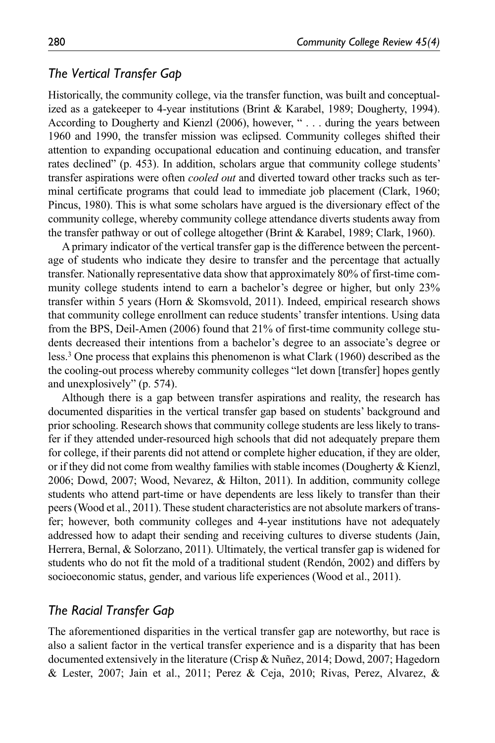#### *The Vertical Transfer Gap*

Historically, the community college, via the transfer function, was built and conceptualized as a gatekeeper to 4-year institutions (Brint & Karabel, 1989; Dougherty, 1994). According to Dougherty and Kienzl (2006), however, " . . . during the years between 1960 and 1990, the transfer mission was eclipsed. Community colleges shifted their attention to expanding occupational education and continuing education, and transfer rates declined" (p. 453). In addition, scholars argue that community college students' transfer aspirations were often *cooled out* and diverted toward other tracks such as terminal certificate programs that could lead to immediate job placement (Clark, 1960; Pincus, 1980). This is what some scholars have argued is the diversionary effect of the community college, whereby community college attendance diverts students away from the transfer pathway or out of college altogether (Brint & Karabel, 1989; Clark, 1960).

A primary indicator of the vertical transfer gap is the difference between the percentage of students who indicate they desire to transfer and the percentage that actually transfer. Nationally representative data show that approximately 80% of first-time community college students intend to earn a bachelor's degree or higher, but only 23% transfer within 5 years (Horn & Skomsvold, 2011). Indeed, empirical research shows that community college enrollment can reduce students' transfer intentions. Using data from the BPS, Deil-Amen (2006) found that 21% of first-time community college students decreased their intentions from a bachelor's degree to an associate's degree or less.3 One process that explains this phenomenon is what Clark (1960) described as the the cooling-out process whereby community colleges "let down [transfer] hopes gently and unexplosively" (p. 574).

Although there is a gap between transfer aspirations and reality, the research has documented disparities in the vertical transfer gap based on students' background and prior schooling. Research shows that community college students are less likely to transfer if they attended under-resourced high schools that did not adequately prepare them for college, if their parents did not attend or complete higher education, if they are older, or if they did not come from wealthy families with stable incomes (Dougherty & Kienzl, 2006; Dowd, 2007; Wood, Nevarez, & Hilton, 2011). In addition, community college students who attend part-time or have dependents are less likely to transfer than their peers (Wood et al., 2011). These student characteristics are not absolute markers of transfer; however, both community colleges and 4-year institutions have not adequately addressed how to adapt their sending and receiving cultures to diverse students (Jain, Herrera, Bernal, & Solorzano, 2011). Ultimately, the vertical transfer gap is widened for students who do not fit the mold of a traditional student (Rendón, 2002) and differs by socioeconomic status, gender, and various life experiences (Wood et al., 2011).

#### *The Racial Transfer Gap*

The aforementioned disparities in the vertical transfer gap are noteworthy, but race is also a salient factor in the vertical transfer experience and is a disparity that has been documented extensively in the literature (Crisp & Nuñez, 2014; Dowd, 2007; Hagedorn & Lester, 2007; Jain et al., 2011; Perez & Ceja, 2010; Rivas, Perez, Alvarez, &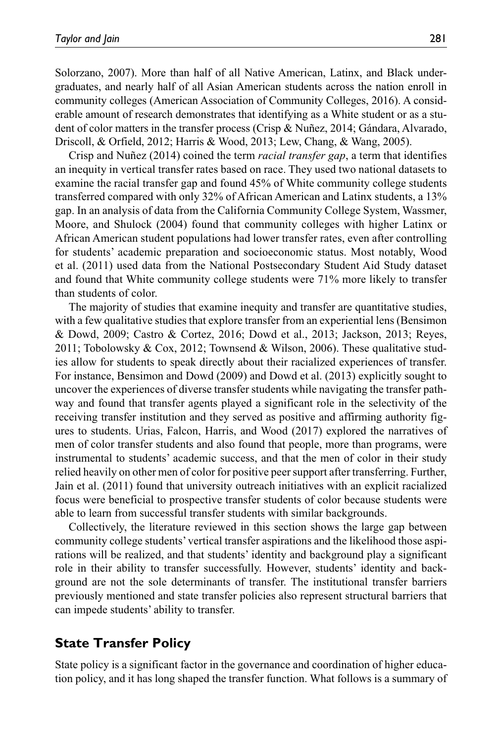Solorzano, 2007). More than half of all Native American, Latinx, and Black undergraduates, and nearly half of all Asian American students across the nation enroll in community colleges (American Association of Community Colleges, 2016). A considerable amount of research demonstrates that identifying as a White student or as a student of color matters in the transfer process (Crisp & Nuñez, 2014; Gándara, Alvarado, Driscoll, & Orfield, 2012; Harris & Wood, 2013; Lew, Chang, & Wang, 2005).

Crisp and Nuñez (2014) coined the term *racial transfer gap*, a term that identifies an inequity in vertical transfer rates based on race. They used two national datasets to examine the racial transfer gap and found 45% of White community college students transferred compared with only 32% of African American and Latinx students, a 13% gap. In an analysis of data from the California Community College System, Wassmer, Moore, and Shulock (2004) found that community colleges with higher Latinx or African American student populations had lower transfer rates, even after controlling for students' academic preparation and socioeconomic status. Most notably, Wood et al. (2011) used data from the National Postsecondary Student Aid Study dataset and found that White community college students were 71% more likely to transfer than students of color.

The majority of studies that examine inequity and transfer are quantitative studies, with a few qualitative studies that explore transfer from an experiential lens (Bensimon & Dowd, 2009; Castro & Cortez, 2016; Dowd et al., 2013; Jackson, 2013; Reyes, 2011; Tobolowsky & Cox, 2012; Townsend & Wilson, 2006). These qualitative studies allow for students to speak directly about their racialized experiences of transfer. For instance, Bensimon and Dowd (2009) and Dowd et al. (2013) explicitly sought to uncover the experiences of diverse transfer students while navigating the transfer pathway and found that transfer agents played a significant role in the selectivity of the receiving transfer institution and they served as positive and affirming authority figures to students. Urias, Falcon, Harris, and Wood (2017) explored the narratives of men of color transfer students and also found that people, more than programs, were instrumental to students' academic success, and that the men of color in their study relied heavily on other men of color for positive peer support after transferring. Further, Jain et al. (2011) found that university outreach initiatives with an explicit racialized focus were beneficial to prospective transfer students of color because students were able to learn from successful transfer students with similar backgrounds.

Collectively, the literature reviewed in this section shows the large gap between community college students' vertical transfer aspirations and the likelihood those aspirations will be realized, and that students' identity and background play a significant role in their ability to transfer successfully. However, students' identity and background are not the sole determinants of transfer. The institutional transfer barriers previously mentioned and state transfer policies also represent structural barriers that can impede students' ability to transfer.

# **State Transfer Policy**

State policy is a significant factor in the governance and coordination of higher education policy, and it has long shaped the transfer function. What follows is a summary of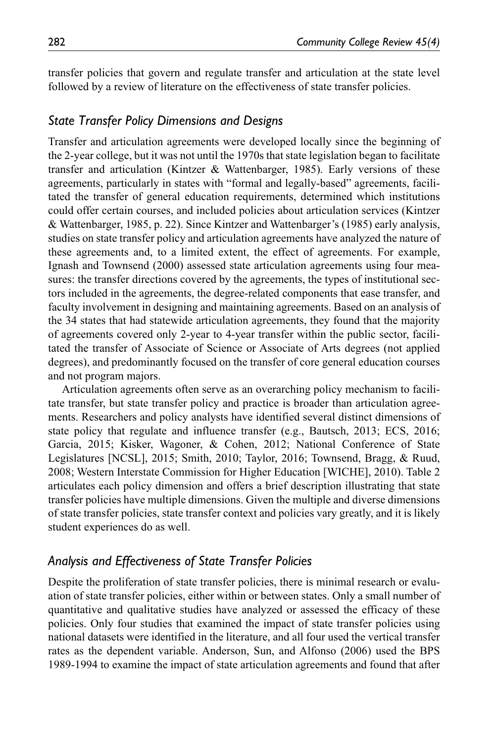transfer policies that govern and regulate transfer and articulation at the state level followed by a review of literature on the effectiveness of state transfer policies.

#### *State Transfer Policy Dimensions and Designs*

Transfer and articulation agreements were developed locally since the beginning of the 2-year college, but it was not until the 1970s that state legislation began to facilitate transfer and articulation (Kintzer & Wattenbarger, 1985). Early versions of these agreements, particularly in states with "formal and legally-based" agreements, facilitated the transfer of general education requirements, determined which institutions could offer certain courses, and included policies about articulation services (Kintzer & Wattenbarger, 1985, p. 22). Since Kintzer and Wattenbarger's (1985) early analysis, studies on state transfer policy and articulation agreements have analyzed the nature of these agreements and, to a limited extent, the effect of agreements. For example, Ignash and Townsend (2000) assessed state articulation agreements using four measures: the transfer directions covered by the agreements, the types of institutional sectors included in the agreements, the degree-related components that ease transfer, and faculty involvement in designing and maintaining agreements. Based on an analysis of the 34 states that had statewide articulation agreements, they found that the majority of agreements covered only 2-year to 4-year transfer within the public sector, facilitated the transfer of Associate of Science or Associate of Arts degrees (not applied degrees), and predominantly focused on the transfer of core general education courses and not program majors.

Articulation agreements often serve as an overarching policy mechanism to facilitate transfer, but state transfer policy and practice is broader than articulation agreements. Researchers and policy analysts have identified several distinct dimensions of state policy that regulate and influence transfer (e.g., Bautsch, 2013; ECS, 2016; Garcia, 2015; Kisker, Wagoner, & Cohen, 2012; National Conference of State Legislatures [NCSL], 2015; Smith, 2010; Taylor, 2016; Townsend, Bragg, & Ruud, 2008; Western Interstate Commission for Higher Education [WICHE], 2010). Table 2 articulates each policy dimension and offers a brief description illustrating that state transfer policies have multiple dimensions. Given the multiple and diverse dimensions of state transfer policies, state transfer context and policies vary greatly, and it is likely student experiences do as well.

#### *Analysis and Effectiveness of State Transfer Policies*

Despite the proliferation of state transfer policies, there is minimal research or evaluation of state transfer policies, either within or between states. Only a small number of quantitative and qualitative studies have analyzed or assessed the efficacy of these policies. Only four studies that examined the impact of state transfer policies using national datasets were identified in the literature, and all four used the vertical transfer rates as the dependent variable. Anderson, Sun, and Alfonso (2006) used the BPS 1989-1994 to examine the impact of state articulation agreements and found that after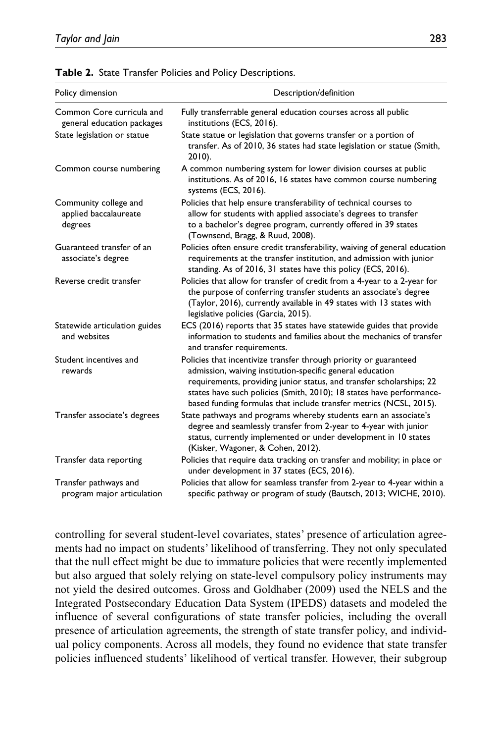| Policy dimension                                          | Description/definition                                                                                                                                                                                                                                                                                                                               |  |  |  |  |
|-----------------------------------------------------------|------------------------------------------------------------------------------------------------------------------------------------------------------------------------------------------------------------------------------------------------------------------------------------------------------------------------------------------------------|--|--|--|--|
| Common Core curricula and<br>general education packages   | Fully transferrable general education courses across all public<br>institutions (ECS, 2016).                                                                                                                                                                                                                                                         |  |  |  |  |
| State legislation or statue                               | State statue or legislation that governs transfer or a portion of<br>transfer. As of 2010, 36 states had state legislation or statue (Smith,<br>$2010$ ).                                                                                                                                                                                            |  |  |  |  |
| Common course numbering                                   | A common numbering system for lower division courses at public<br>institutions. As of 2016, 16 states have common course numbering<br>systems (ECS, 2016).                                                                                                                                                                                           |  |  |  |  |
| Community college and<br>applied baccalaureate<br>degrees | Policies that help ensure transferability of technical courses to<br>allow for students with applied associate's degrees to transfer<br>to a bachelor's degree program, currently offered in 39 states<br>(Townsend, Bragg, & Ruud, 2008).                                                                                                           |  |  |  |  |
| Guaranteed transfer of an<br>associate's degree           | Policies often ensure credit transferability, waiving of general education<br>requirements at the transfer institution, and admission with junior<br>standing. As of 2016, 31 states have this policy (ECS, 2016).                                                                                                                                   |  |  |  |  |
| Reverse credit transfer                                   | Policies that allow for transfer of credit from a 4-year to a 2-year for<br>the purpose of conferring transfer students an associate's degree<br>(Taylor, 2016), currently available in 49 states with 13 states with<br>legislative policies (Garcia, 2015).                                                                                        |  |  |  |  |
| Statewide articulation guides<br>and websites             | ECS (2016) reports that 35 states have statewide guides that provide<br>information to students and families about the mechanics of transfer<br>and transfer requirements.                                                                                                                                                                           |  |  |  |  |
| Student incentives and<br>rewards                         | Policies that incentivize transfer through priority or guaranteed<br>admission, waiving institution-specific general education<br>requirements, providing junior status, and transfer scholarships; 22<br>states have such policies (Smith, 2010); 18 states have performance-<br>based funding formulas that include transfer metrics (NCSL, 2015). |  |  |  |  |
| Transfer associate's degrees                              | State pathways and programs whereby students earn an associate's<br>degree and seamlessly transfer from 2-year to 4-year with junior<br>status, currently implemented or under development in 10 states<br>(Kisker, Wagoner, & Cohen, 2012).                                                                                                         |  |  |  |  |
| Transfer data reporting                                   | Policies that require data tracking on transfer and mobility; in place or<br>under development in 37 states (ECS, 2016).                                                                                                                                                                                                                             |  |  |  |  |
| Transfer pathways and<br>program major articulation       | Policies that allow for seamless transfer from 2-year to 4-year within a<br>specific pathway or program of study (Bautsch, 2013; WICHE, 2010).                                                                                                                                                                                                       |  |  |  |  |

|  |  |  |  |  |  | Table 2. State Transfer Policies and Policy Descriptions. |
|--|--|--|--|--|--|-----------------------------------------------------------|
|--|--|--|--|--|--|-----------------------------------------------------------|

controlling for several student-level covariates, states' presence of articulation agreements had no impact on students' likelihood of transferring. They not only speculated that the null effect might be due to immature policies that were recently implemented but also argued that solely relying on state-level compulsory policy instruments may not yield the desired outcomes. Gross and Goldhaber (2009) used the NELS and the Integrated Postsecondary Education Data System (IPEDS) datasets and modeled the influence of several configurations of state transfer policies, including the overall presence of articulation agreements, the strength of state transfer policy, and individual policy components. Across all models, they found no evidence that state transfer policies influenced students' likelihood of vertical transfer. However, their subgroup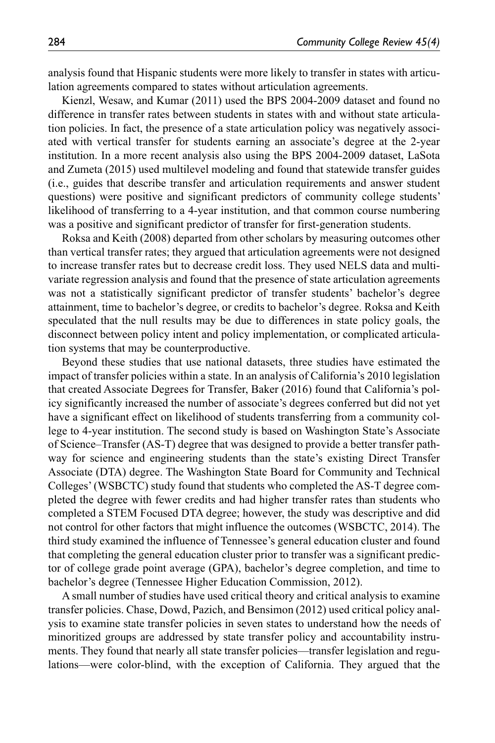analysis found that Hispanic students were more likely to transfer in states with articulation agreements compared to states without articulation agreements.

Kienzl, Wesaw, and Kumar (2011) used the BPS 2004-2009 dataset and found no difference in transfer rates between students in states with and without state articulation policies. In fact, the presence of a state articulation policy was negatively associated with vertical transfer for students earning an associate's degree at the 2-year institution. In a more recent analysis also using the BPS 2004-2009 dataset, LaSota and Zumeta (2015) used multilevel modeling and found that statewide transfer guides (i.e., guides that describe transfer and articulation requirements and answer student questions) were positive and significant predictors of community college students' likelihood of transferring to a 4-year institution, and that common course numbering was a positive and significant predictor of transfer for first-generation students.

Roksa and Keith (2008) departed from other scholars by measuring outcomes other than vertical transfer rates; they argued that articulation agreements were not designed to increase transfer rates but to decrease credit loss. They used NELS data and multivariate regression analysis and found that the presence of state articulation agreements was not a statistically significant predictor of transfer students' bachelor's degree attainment, time to bachelor's degree, or credits to bachelor's degree. Roksa and Keith speculated that the null results may be due to differences in state policy goals, the disconnect between policy intent and policy implementation, or complicated articulation systems that may be counterproductive.

Beyond these studies that use national datasets, three studies have estimated the impact of transfer policies within a state. In an analysis of California's 2010 legislation that created Associate Degrees for Transfer, Baker (2016) found that California's policy significantly increased the number of associate's degrees conferred but did not yet have a significant effect on likelihood of students transferring from a community college to 4-year institution. The second study is based on Washington State's Associate of Science–Transfer (AS-T) degree that was designed to provide a better transfer pathway for science and engineering students than the state's existing Direct Transfer Associate (DTA) degree. The Washington State Board for Community and Technical Colleges' (WSBCTC) study found that students who completed the AS-T degree completed the degree with fewer credits and had higher transfer rates than students who completed a STEM Focused DTA degree; however, the study was descriptive and did not control for other factors that might influence the outcomes (WSBCTC, 2014). The third study examined the influence of Tennessee's general education cluster and found that completing the general education cluster prior to transfer was a significant predictor of college grade point average (GPA), bachelor's degree completion, and time to bachelor's degree (Tennessee Higher Education Commission, 2012).

A small number of studies have used critical theory and critical analysis to examine transfer policies. Chase, Dowd, Pazich, and Bensimon (2012) used critical policy analysis to examine state transfer policies in seven states to understand how the needs of minoritized groups are addressed by state transfer policy and accountability instruments. They found that nearly all state transfer policies—transfer legislation and regulations—were color-blind, with the exception of California. They argued that the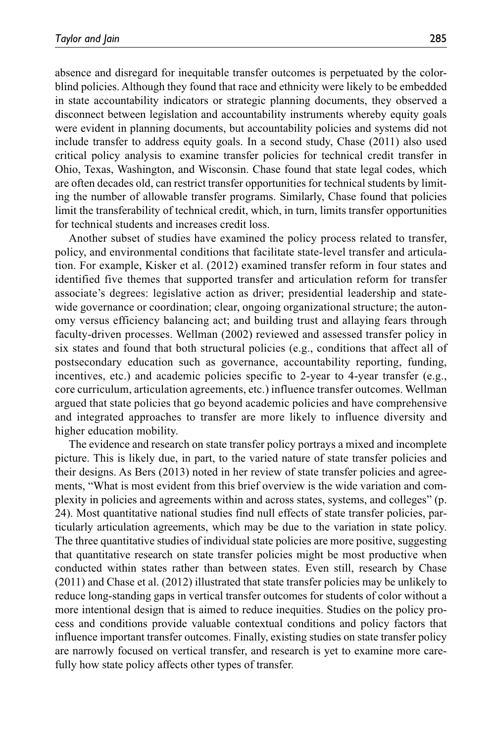absence and disregard for inequitable transfer outcomes is perpetuated by the colorblind policies. Although they found that race and ethnicity were likely to be embedded in state accountability indicators or strategic planning documents, they observed a disconnect between legislation and accountability instruments whereby equity goals were evident in planning documents, but accountability policies and systems did not include transfer to address equity goals. In a second study, Chase (2011) also used critical policy analysis to examine transfer policies for technical credit transfer in Ohio, Texas, Washington, and Wisconsin. Chase found that state legal codes, which are often decades old, can restrict transfer opportunities for technical students by limiting the number of allowable transfer programs. Similarly, Chase found that policies limit the transferability of technical credit, which, in turn, limits transfer opportunities for technical students and increases credit loss.

Another subset of studies have examined the policy process related to transfer, policy, and environmental conditions that facilitate state-level transfer and articulation. For example, Kisker et al. (2012) examined transfer reform in four states and identified five themes that supported transfer and articulation reform for transfer associate's degrees: legislative action as driver; presidential leadership and statewide governance or coordination; clear, ongoing organizational structure; the autonomy versus efficiency balancing act; and building trust and allaying fears through faculty-driven processes. Wellman (2002) reviewed and assessed transfer policy in six states and found that both structural policies (e.g., conditions that affect all of postsecondary education such as governance, accountability reporting, funding, incentives, etc.) and academic policies specific to 2-year to 4-year transfer (e.g., core curriculum, articulation agreements, etc.) influence transfer outcomes. Wellman argued that state policies that go beyond academic policies and have comprehensive and integrated approaches to transfer are more likely to influence diversity and higher education mobility.

The evidence and research on state transfer policy portrays a mixed and incomplete picture. This is likely due, in part, to the varied nature of state transfer policies and their designs. As Bers (2013) noted in her review of state transfer policies and agreements, "What is most evident from this brief overview is the wide variation and complexity in policies and agreements within and across states, systems, and colleges" (p. 24). Most quantitative national studies find null effects of state transfer policies, particularly articulation agreements, which may be due to the variation in state policy. The three quantitative studies of individual state policies are more positive, suggesting that quantitative research on state transfer policies might be most productive when conducted within states rather than between states. Even still, research by Chase (2011) and Chase et al. (2012) illustrated that state transfer policies may be unlikely to reduce long-standing gaps in vertical transfer outcomes for students of color without a more intentional design that is aimed to reduce inequities. Studies on the policy process and conditions provide valuable contextual conditions and policy factors that influence important transfer outcomes. Finally, existing studies on state transfer policy are narrowly focused on vertical transfer, and research is yet to examine more carefully how state policy affects other types of transfer.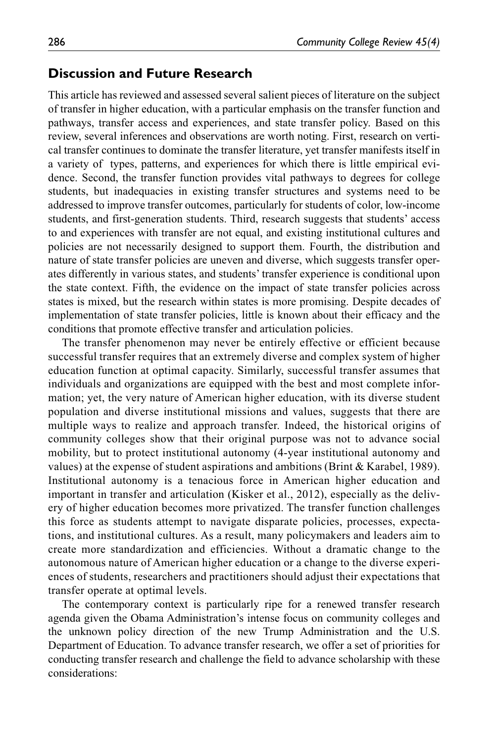#### **Discussion and Future Research**

This article has reviewed and assessed several salient pieces of literature on the subject of transfer in higher education, with a particular emphasis on the transfer function and pathways, transfer access and experiences, and state transfer policy. Based on this review, several inferences and observations are worth noting. First, research on vertical transfer continues to dominate the transfer literature, yet transfer manifests itself in a variety of types, patterns, and experiences for which there is little empirical evidence. Second, the transfer function provides vital pathways to degrees for college students, but inadequacies in existing transfer structures and systems need to be addressed to improve transfer outcomes, particularly for students of color, low-income students, and first-generation students. Third, research suggests that students' access to and experiences with transfer are not equal, and existing institutional cultures and policies are not necessarily designed to support them. Fourth, the distribution and nature of state transfer policies are uneven and diverse, which suggests transfer operates differently in various states, and students' transfer experience is conditional upon the state context. Fifth, the evidence on the impact of state transfer policies across states is mixed, but the research within states is more promising. Despite decades of implementation of state transfer policies, little is known about their efficacy and the conditions that promote effective transfer and articulation policies.

The transfer phenomenon may never be entirely effective or efficient because successful transfer requires that an extremely diverse and complex system of higher education function at optimal capacity. Similarly, successful transfer assumes that individuals and organizations are equipped with the best and most complete information; yet, the very nature of American higher education, with its diverse student population and diverse institutional missions and values, suggests that there are multiple ways to realize and approach transfer. Indeed, the historical origins of community colleges show that their original purpose was not to advance social mobility, but to protect institutional autonomy (4-year institutional autonomy and values) at the expense of student aspirations and ambitions (Brint & Karabel, 1989). Institutional autonomy is a tenacious force in American higher education and important in transfer and articulation (Kisker et al., 2012), especially as the delivery of higher education becomes more privatized. The transfer function challenges this force as students attempt to navigate disparate policies, processes, expectations, and institutional cultures. As a result, many policymakers and leaders aim to create more standardization and efficiencies. Without a dramatic change to the autonomous nature of American higher education or a change to the diverse experiences of students, researchers and practitioners should adjust their expectations that transfer operate at optimal levels.

The contemporary context is particularly ripe for a renewed transfer research agenda given the Obama Administration's intense focus on community colleges and the unknown policy direction of the new Trump Administration and the U.S. Department of Education. To advance transfer research, we offer a set of priorities for conducting transfer research and challenge the field to advance scholarship with these considerations: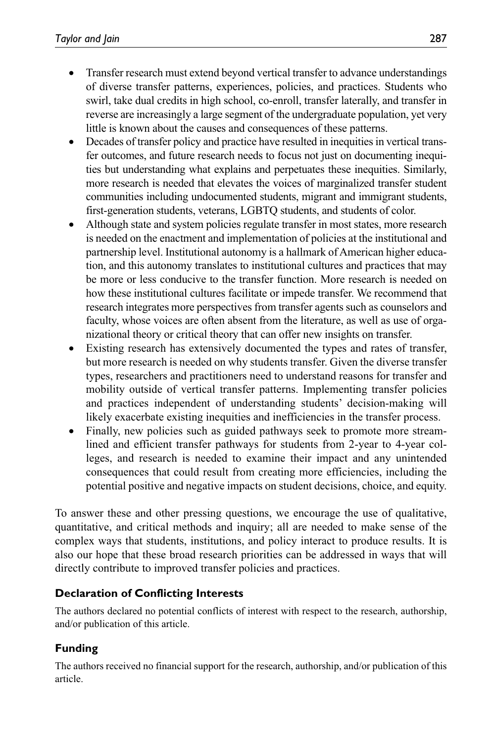- Transfer research must extend beyond vertical transfer to advance understandings of diverse transfer patterns, experiences, policies, and practices. Students who swirl, take dual credits in high school, co-enroll, transfer laterally, and transfer in reverse are increasingly a large segment of the undergraduate population, yet very little is known about the causes and consequences of these patterns.
- Decades of transfer policy and practice have resulted in inequities in vertical transfer outcomes, and future research needs to focus not just on documenting inequities but understanding what explains and perpetuates these inequities. Similarly, more research is needed that elevates the voices of marginalized transfer student communities including undocumented students, migrant and immigrant students, first-generation students, veterans, LGBTQ students, and students of color.
- Although state and system policies regulate transfer in most states, more research is needed on the enactment and implementation of policies at the institutional and partnership level. Institutional autonomy is a hallmark of American higher education, and this autonomy translates to institutional cultures and practices that may be more or less conducive to the transfer function. More research is needed on how these institutional cultures facilitate or impede transfer. We recommend that research integrates more perspectives from transfer agents such as counselors and faculty, whose voices are often absent from the literature, as well as use of organizational theory or critical theory that can offer new insights on transfer.
- Existing research has extensively documented the types and rates of transfer, but more research is needed on why students transfer. Given the diverse transfer types, researchers and practitioners need to understand reasons for transfer and mobility outside of vertical transfer patterns. Implementing transfer policies and practices independent of understanding students' decision-making will likely exacerbate existing inequities and inefficiencies in the transfer process.
- Finally, new policies such as guided pathways seek to promote more streamlined and efficient transfer pathways for students from 2-year to 4-year colleges, and research is needed to examine their impact and any unintended consequences that could result from creating more efficiencies, including the potential positive and negative impacts on student decisions, choice, and equity.

To answer these and other pressing questions, we encourage the use of qualitative, quantitative, and critical methods and inquiry; all are needed to make sense of the complex ways that students, institutions, and policy interact to produce results. It is also our hope that these broad research priorities can be addressed in ways that will directly contribute to improved transfer policies and practices.

#### **Declaration of Conflicting Interests**

The authors declared no potential conflicts of interest with respect to the research, authorship, and/or publication of this article.

# **Funding**

The authors received no financial support for the research, authorship, and/or publication of this article.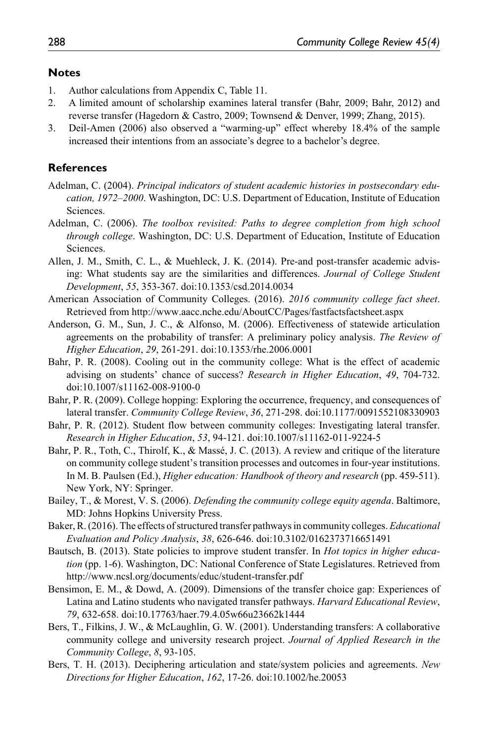#### **Notes**

- 1. Author calculations from Appendix C, Table 11.
- 2. A limited amount of scholarship examines lateral transfer (Bahr, 2009; Bahr, 2012) and reverse transfer (Hagedorn & Castro, 2009; Townsend & Denver, 1999; Zhang, 2015).
- 3. Deil-Amen (2006) also observed a "warming-up" effect whereby 18.4% of the sample increased their intentions from an associate's degree to a bachelor's degree.

#### **References**

- Adelman, C. (2004). *Principal indicators of student academic histories in postsecondary education, 1972–2000*. Washington, DC: U.S. Department of Education, Institute of Education Sciences.
- Adelman, C. (2006). *The toolbox revisited: Paths to degree completion from high school through college*. Washington, DC: U.S. Department of Education, Institute of Education Sciences.
- Allen, J. M., Smith, C. L., & Muehleck, J. K. (2014). Pre-and post-transfer academic advising: What students say are the similarities and differences. *Journal of College Student Development*, *55*, 353-367. doi:10.1353/csd.2014.0034
- American Association of Community Colleges. (2016). *2016 community college fact sheet*. Retrieved from <http://www.aacc.nche.edu/AboutCC/Pages/fastfactsfactsheet.aspx>
- Anderson, G. M., Sun, J. C., & Alfonso, M. (2006). Effectiveness of statewide articulation agreements on the probability of transfer: A preliminary policy analysis. *The Review of Higher Education*, *29*, 261-291. doi:10.1353/rhe.2006.0001
- Bahr, P. R. (2008). Cooling out in the community college: What is the effect of academic advising on students' chance of success? *Research in Higher Education*, *49*, 704-732. doi:10.1007/s11162-008-9100-0
- Bahr, P. R. (2009). College hopping: Exploring the occurrence, frequency, and consequences of lateral transfer. *Community College Review*, *36*, 271-298. doi:10.1177/0091552108330903
- Bahr, P. R. (2012). Student flow between community colleges: Investigating lateral transfer. *Research in Higher Education*, *53*, 94-121. doi:10.1007/s11162-011-9224-5
- Bahr, P. R., Toth, C., Thirolf, K., & Massé, J. C. (2013). A review and critique of the literature on community college student's transition processes and outcomes in four-year institutions. In M. B. Paulsen (Ed.), *Higher education: Handbook of theory and research* (pp. 459-511). New York, NY: Springer.
- Bailey, T., & Morest, V. S. (2006). *Defending the community college equity agenda*. Baltimore, MD: Johns Hopkins University Press.
- Baker, R. (2016). The effects of structured transfer pathways in community colleges. *Educational Evaluation and Policy Analysis*, *38*, 626-646. doi:10.3102/0162373716651491
- Bautsch, B. (2013). State policies to improve student transfer. In *Hot topics in higher education* (pp. 1-6). Washington, DC: National Conference of State Legislatures. Retrieved from <http://www.ncsl.org/documents/educ/student-transfer.pdf>
- Bensimon, E. M., & Dowd, A. (2009). Dimensions of the transfer choice gap: Experiences of Latina and Latino students who navigated transfer pathways. *Harvard Educational Review*, *79*, 632-658. doi:10.17763/haer.79.4.05w66u23662k1444
- Bers, T., Filkins, J. W., & McLaughlin, G. W. (2001). Understanding transfers: A collaborative community college and university research project. *Journal of Applied Research in the Community College*, *8*, 93-105.
- Bers, T. H. (2013). Deciphering articulation and state/system policies and agreements. *New Directions for Higher Education*, *162*, 17-26. doi:10.1002/he.20053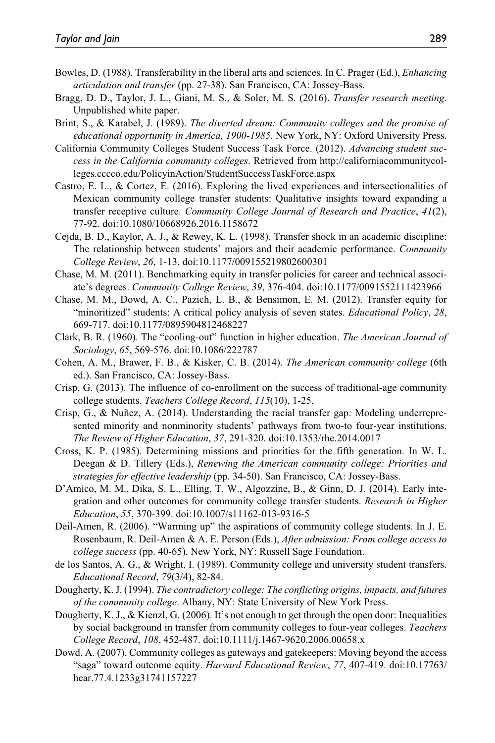- Bowles, D. (1988). Transferability in the liberal arts and sciences. In C. Prager (Ed.), *Enhancing articulation and transfer* (pp. 27-38). San Francisco, CA: Jossey-Bass.
- Bragg, D. D., Taylor, J. L., Giani, M. S., & Soler, M. S. (2016). *Transfer research meeting*. Unpublished white paper.
- Brint, S., & Karabel, J. (1989). *The diverted dream: Community colleges and the promise of educational opportunity in America, 1900-1985*. New York, NY: Oxford University Press.
- California Community Colleges Student Success Task Force. (2012). *Advancing student success in the California community colleges*. Retrieved from [http://californiacommunitycol](http://californiacommunitycolleges.cccco.edu/PolicyinAction/StudentSuccessTaskForce.aspx)[leges.cccco.edu/PolicyinAction/StudentSuccessTaskForce.aspx](http://californiacommunitycolleges.cccco.edu/PolicyinAction/StudentSuccessTaskForce.aspx)
- Castro, E. L., & Cortez, E. (2016). Exploring the lived experiences and intersectionalities of Mexican community college transfer students: Qualitative insights toward expanding a transfer receptive culture. *Community College Journal of Research and Practice*, *41*(2), 77-92. doi:10.1080/10668926.2016.1158672
- Cejda, B. D., Kaylor, A. J., & Rewey, K. L. (1998). Transfer shock in an academic discipline: The relationship between students' majors and their academic performance. *Community College Review*, *26*, 1-13. doi:10.1177/009155219802600301
- Chase, M. M. (2011). Benchmarking equity in transfer policies for career and technical associate's degrees. *Community College Review*, *39*, 376-404. doi:10.1177/0091552111423966
- Chase, M. M., Dowd, A. C., Pazich, L. B., & Bensimon, E. M. (2012). Transfer equity for "minoritized" students: A critical policy analysis of seven states. *Educational Policy*, *28*, 669-717. doi:10.1177/0895904812468227
- Clark, B. R. (1960). The "cooling-out" function in higher education. *The American Journal of Sociology*, *65*, 569-576. doi:10.1086/222787
- Cohen, A. M., Brawer, F. B., & Kisker, C. B. (2014). *The American community college* (6th ed.). San Francisco, CA: Jossey-Bass.
- Crisp, G. (2013). The influence of co-enrollment on the success of traditional-age community college students. *Teachers College Record*, *115*(10), 1-25.
- Crisp, G., & Nuñez, A. (2014). Understanding the racial transfer gap: Modeling underrepresented minority and nonminority students' pathways from two-to four-year institutions. *The Review of Higher Education*, *37*, 291-320. doi:10.1353/rhe.2014.0017
- Cross, K. P. (1985). Determining missions and priorities for the fifth generation. In W. L. Deegan & D. Tillery (Eds.), *Renewing the American community college: Priorities and strategies for effective leadership* (pp. 34-50). San Francisco, CA: Jossey-Bass.
- D'Amico, M. M., Dika, S. L., Elling, T. W., Algozzine, B., & Ginn, D. J. (2014). Early integration and other outcomes for community college transfer students. *Research in Higher Education*, *55*, 370-399. doi:10.1007/s11162-013-9316-5
- Deil-Amen, R. (2006). "Warming up" the aspirations of community college students. In J. E. Rosenbaum, R. Deil-Amen & A. E. Person (Eds.), *After admission: From college access to college success* (pp. 40-65). New York, NY: Russell Sage Foundation.
- de los Santos, A. G., & Wright, I. (1989). Community college and university student transfers. *Educational Record*, *79*(3/4), 82-84.
- Dougherty, K. J. (1994). *The contradictory college: The conflicting origins, impacts, and futures of the community college*. Albany, NY: State University of New York Press.
- Dougherty, K. J., & Kienzl, G. (2006). It's not enough to get through the open door: Inequalities by social background in transfer from community colleges to four-year colleges. *Teachers College Record*, *108*, 452-487. doi:10.1111/j.1467-9620.2006.00658.x
- Dowd, A. (2007). Community colleges as gateways and gatekeepers: Moving beyond the access "saga" toward outcome equity. *Harvard Educational Review*, *77*, 407-419. doi:10.17763/ hear.77.4.1233g31741157227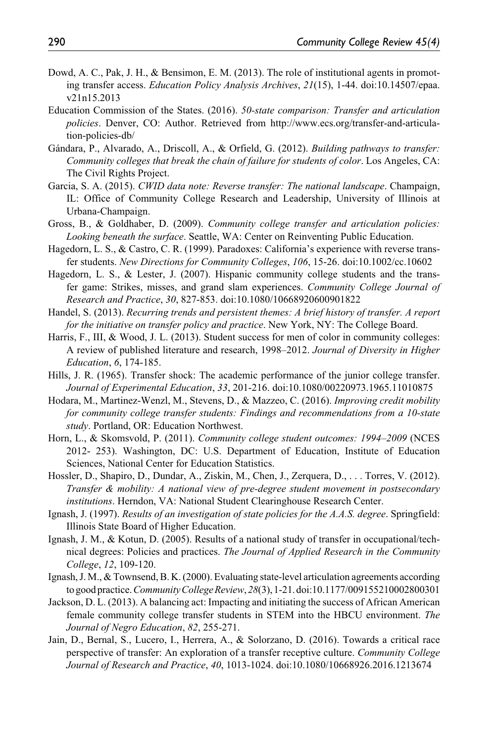- Dowd, A. C., Pak, J. H., & Bensimon, E. M. (2013). The role of institutional agents in promoting transfer access. *Education Policy Analysis Archives*, *21*(15), 1-44. doi:10.14507/epaa. v21n15.2013
- Education Commission of the States. (2016). *50-state comparison: Transfer and articulation policies*. Denver, CO: Author. Retrieved from [http://www.ecs.org/transfer-and-articula](http://www.ecs.org/transfer-and-articulation-policies-db/)[tion-policies-db/](http://www.ecs.org/transfer-and-articulation-policies-db/)
- Gándara, P., Alvarado, A., Driscoll, A., & Orfield, G. (2012). *Building pathways to transfer: Community colleges that break the chain of failure for students of color*. Los Angeles, CA: The Civil Rights Project.
- Garcia, S. A. (2015). *CWID data note: Reverse transfer: The national landscape*. Champaign, IL: Office of Community College Research and Leadership, University of Illinois at Urbana-Champaign.
- Gross, B., & Goldhaber, D. (2009). *Community college transfer and articulation policies: Looking beneath the surface*. Seattle, WA: Center on Reinventing Public Education.
- Hagedorn, L. S., & Castro, C. R. (1999). Paradoxes: California's experience with reverse transfer students. *New Directions for Community Colleges*, *106*, 15-26. doi:10.1002/cc.10602
- Hagedorn, L. S., & Lester, J. (2007). Hispanic community college students and the transfer game: Strikes, misses, and grand slam experiences. *Community College Journal of Research and Practice*, *30*, 827-853. doi:10.1080/10668920600901822
- Handel, S. (2013). *Recurring trends and persistent themes: A brief history of transfer. A report for the initiative on transfer policy and practice*. New York, NY: The College Board.
- Harris, F., III, & Wood, J. L. (2013). Student success for men of color in community colleges: A review of published literature and research, 1998–2012. *Journal of Diversity in Higher Education*, *6*, 174-185.
- Hills, J. R. (1965). Transfer shock: The academic performance of the junior college transfer. *Journal of Experimental Education*, *33*, 201-216. doi:10.1080/00220973.1965.11010875
- Hodara, M., Martinez-Wenzl, M., Stevens, D., & Mazzeo, C. (2016). *Improving credit mobility for community college transfer students: Findings and recommendations from a 10-state study*. Portland, OR: Education Northwest.
- Horn, L., & Skomsvold, P. (2011). *Community college student outcomes: 1994–2009* (NCES 2012- 253). Washington, DC: U.S. Department of Education, Institute of Education Sciences, National Center for Education Statistics.
- Hossler, D., Shapiro, D., Dundar, A., Ziskin, M., Chen, J., Zerquera, D., . . . Torres, V. (2012). *Transfer & mobility: A national view of pre-degree student movement in postsecondary institutions*. Herndon, VA: National Student Clearinghouse Research Center.
- Ignash, J. (1997). *Results of an investigation of state policies for the A.A.S. degree*. Springfield: Illinois State Board of Higher Education.
- Ignash, J. M., & Kotun, D. (2005). Results of a national study of transfer in occupational/technical degrees: Policies and practices. *The Journal of Applied Research in the Community College*, *12*, 109-120.
- Ignash, J. M., & Townsend, B. K. (2000). Evaluating state-level articulation agreements according to good practice. *Community College Review*, *28*(3), 1-21. doi:10.1177/009155210002800301
- Jackson, D. L. (2013). A balancing act: Impacting and initiating the success of African American female community college transfer students in STEM into the HBCU environment. *The Journal of Negro Education*, *82*, 255-271.
- Jain, D., Bernal, S., Lucero, I., Herrera, A., & Solorzano, D. (2016). Towards a critical race perspective of transfer: An exploration of a transfer receptive culture. *Community College Journal of Research and Practice*, *40*, 1013-1024. doi:10.1080/10668926.2016.1213674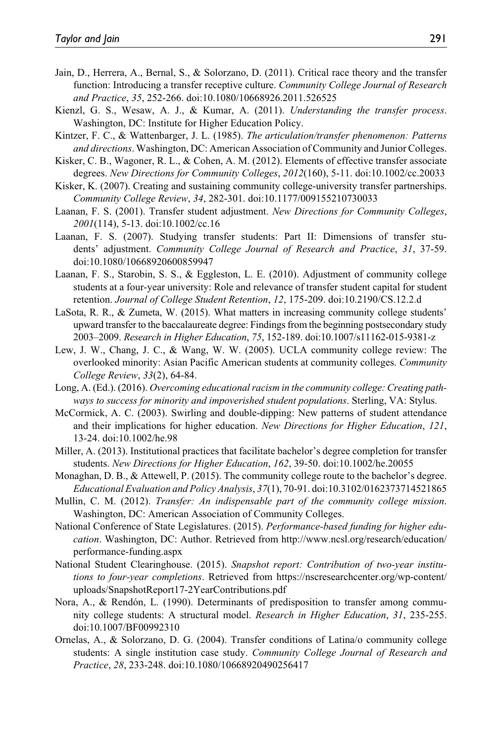- Jain, D., Herrera, A., Bernal, S., & Solorzano, D. (2011). Critical race theory and the transfer function: Introducing a transfer receptive culture. *Community College Journal of Research and Practice*, *35*, 252-266. doi:10.1080/10668926.2011.526525
- Kienzl, G. S., Wesaw, A. J., & Kumar, A. (2011). *Understanding the transfer process*. Washington, DC: Institute for Higher Education Policy.
- Kintzer, F. C., & Wattenbarger, J. L. (1985). *The articulation/transfer phenomenon: Patterns and directions*. Washington, DC: American Association of Community and Junior Colleges.
- Kisker, C. B., Wagoner, R. L., & Cohen, A. M. (2012). Elements of effective transfer associate degrees. *New Directions for Community Colleges*, *2012*(160), 5-11. doi:10.1002/cc.20033
- Kisker, K. (2007). Creating and sustaining community college-university transfer partnerships. *Community College Review*, *34*, 282-301. doi:10.1177/009155210730033
- Laanan, F. S. (2001). Transfer student adjustment. *New Directions for Community Colleges*, *2001*(114), 5-13. doi:10.1002/cc.16
- Laanan, F. S. (2007). Studying transfer students: Part II: Dimensions of transfer students' adjustment. *Community College Journal of Research and Practice*, *31*, 37-59. doi:10.1080/10668920600859947
- Laanan, F. S., Starobin, S. S., & Eggleston, L. E. (2010). Adjustment of community college students at a four-year university: Role and relevance of transfer student capital for student retention. *Journal of College Student Retention*, *12*, 175-209. doi:10.2190/CS.12.2.d
- LaSota, R. R., & Zumeta, W. (2015). What matters in increasing community college students' upward transfer to the baccalaureate degree: Findings from the beginning postsecondary study 2003–2009. *Research in Higher Education*, *75*, 152-189. doi:10.1007/s11162-015-9381-z
- Lew, J. W., Chang, J. C., & Wang, W. W. (2005). UCLA community college review: The overlooked minority: Asian Pacific American students at community colleges. *Community College Review*, *33*(2), 64-84.
- Long, A. (Ed.). (2016). *Overcoming educational racism in the community college: Creating pathways to success for minority and impoverished student populations*. Sterling, VA: Stylus.
- McCormick, A. C. (2003). Swirling and double-dipping: New patterns of student attendance and their implications for higher education. *New Directions for Higher Education*, *121*, 13-24. doi:10.1002/he.98
- Miller, A. (2013). Institutional practices that facilitate bachelor's degree completion for transfer students. *New Directions for Higher Education*, *162*, 39-50. doi:10.1002/he.20055
- Monaghan, D. B., & Attewell, P. (2015). The community college route to the bachelor's degree. *Educational Evaluation and Policy Analysis*, *37*(1), 70-91. doi:10.3102/0162373714521865
- Mullin, C. M. (2012). *Transfer: An indispensable part of the community college mission*. Washington, DC: American Association of Community Colleges.
- National Conference of State Legislatures. (2015). *Performance-based funding for higher education*. Washington, DC: Author. Retrieved from [http://www.ncsl.org/research/education/](http://www.ncsl.org/research/education/performance-funding.aspx) [performance-funding.aspx](http://www.ncsl.org/research/education/performance-funding.aspx)
- National Student Clearinghouse. (2015). *Snapshot report: Contribution of two-year institutions to four-year completions*. Retrieved from [https://nscresearchcenter.org/wp-content/](https://nscresearchcenter.org/wp-content/uploads/SnapshotReport17-2YearContributions.pdf) [uploads/SnapshotReport17-2YearContributions.pdf](https://nscresearchcenter.org/wp-content/uploads/SnapshotReport17-2YearContributions.pdf)
- Nora, A., & Rendón, L. (1990). Determinants of predisposition to transfer among community college students: A structural model. *Research in Higher Education*, *31*, 235-255. doi:10.1007/BF00992310
- Ornelas, A., & Solorzano, D. G. (2004). Transfer conditions of Latina/o community college students: A single institution case study. *Community College Journal of Research and Practice*, *28*, 233-248. doi:10.1080/10668920490256417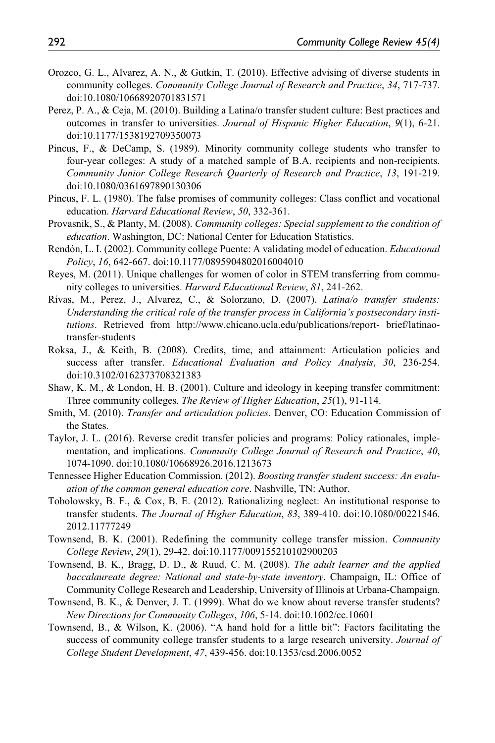- Orozco, G. L., Alvarez, A. N., & Gutkin, T. (2010). Effective advising of diverse students in community colleges. *Community College Journal of Research and Practice*, *34*, 717-737. doi:10.1080/10668920701831571
- Perez, P. A., & Ceja, M. (2010). Building a Latina/o transfer student culture: Best practices and outcomes in transfer to universities. *Journal of Hispanic Higher Education*, *9*(1), 6-21. doi:10.1177/1538192709350073
- Pincus, F., & DeCamp, S. (1989). Minority community college students who transfer to four-year colleges: A study of a matched sample of B.A. recipients and non-recipients. *Community Junior College Research Quarterly of Research and Practice*, *13*, 191-219. doi:10.1080/0361697890130306
- Pincus, F. L. (1980). The false promises of community colleges: Class conflict and vocational education. *Harvard Educational Review*, *50*, 332-361.
- Provasnik, S., & Planty, M. (2008). *Community colleges: Special supplement to the condition of education*. Washington, DC: National Center for Education Statistics.
- Rendón, L. I. (2002). Community college Puente: A validating model of education. *Educational Policy*, *16*, 642-667. doi:10.1177/0895904802016004010
- Reyes, M. (2011). Unique challenges for women of color in STEM transferring from community colleges to universities. *Harvard Educational Review*, *81*, 241-262.
- Rivas, M., Perez, J., Alvarez, C., & Solorzano, D. (2007). *Latina/o transfer students: Understanding the critical role of the transfer process in California's postsecondary institutions*. Retrieved from <http://www.chicano.ucla.edu/publications/report-> brief/latinaotransfer-students
- Roksa, J., & Keith, B. (2008). Credits, time, and attainment: Articulation policies and success after transfer. *Educational Evaluation and Policy Analysis*, *30*, 236-254. doi:10.3102/0162373708321383
- Shaw, K. M., & London, H. B. (2001). Culture and ideology in keeping transfer commitment: Three community colleges. *The Review of Higher Education*, *25*(1), 91-114.
- Smith, M. (2010). *Transfer and articulation policies*. Denver, CO: Education Commission of the States.
- Taylor, J. L. (2016). Reverse credit transfer policies and programs: Policy rationales, implementation, and implications. *Community College Journal of Research and Practice*, *40*, 1074-1090. doi:10.1080/10668926.2016.1213673
- Tennessee Higher Education Commission. (2012). *Boosting transfer student success: An evaluation of the common general education core*. Nashville, TN: Author.
- Tobolowsky, B. F., & Cox, B. E. (2012). Rationalizing neglect: An institutional response to transfer students. *The Journal of Higher Education*, *83*, 389-410. doi:10.1080/00221546. 2012.11777249
- Townsend, B. K. (2001). Redefining the community college transfer mission. *Community College Review*, *29*(1), 29-42. doi:10.1177/009155210102900203
- Townsend, B. K., Bragg, D. D., & Ruud, C. M. (2008). *The adult learner and the applied baccalaureate degree: National and state-by-state inventory*. Champaign, IL: Office of Community College Research and Leadership, University of Illinois at Urbana-Champaign.
- Townsend, B. K., & Denver, J. T. (1999). What do we know about reverse transfer students? *New Directions for Community Colleges*, *106*, 5-14. doi:10.1002/cc.10601
- Townsend, B., & Wilson, K. (2006). "A hand hold for a little bit": Factors facilitating the success of community college transfer students to a large research university. *Journal of College Student Development*, *47*, 439-456. doi:10.1353/csd.2006.0052